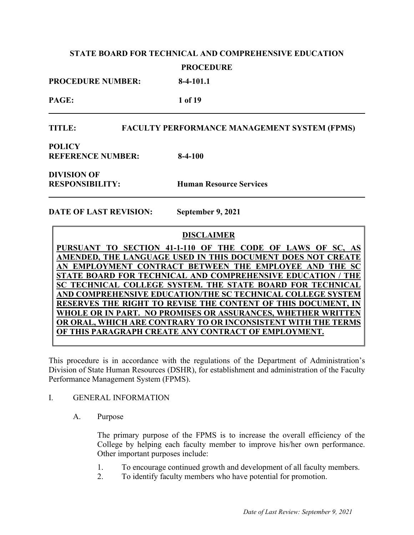**PROCEDURE NUMBER: 8-4-101.1**

**PAGE: 1 of 19**

### **TITLE: FACULTY PERFORMANCE MANAGEMENT SYSTEM (FPMS)**

**POLICY REFERENCE NUMBER: 8-4-100**

**DIVISION OF** 

**RESPONSIBILITY: Human Resource Services**

**DATE OF LAST REVISION: September 9, 2021**

### **DISCLAIMER**

PURSUANT TO SECTION 41-1-110 OF THE CODE OF LAWS OF SC, **AMENDED, THE LANGUAGE USED IN THIS DOCUMENT DOES NOT CREATER AN EMPLOYMENT CONTRACT BETWEEN THE EMPLOYEE AND THE SC STATE BOARD FOR TECHNICAL AND COMPREHENSIVE EDUCATION / THE SC TECHNICAL COLLEGE SYSTEM. THE STATE BOARD FOR TECHNICAL AND COMPREHENSIVE EDUCATION/THE SC TECHNICAL COLLEGE SYSTEM RESERVES THE RIGHT TO REVISE THE CONTENT OF THIS DOCUMENT, WHOLE OR IN PART. NO PROMISES OR ASSURANCES, WHETHER WRITTEN OR ORAL, WHICH ARE CONTRARY TO OR INCONSISTENT WITH THE TERMS OF THIS PARAGRAPH CREATE ANY CONTRACT OF EMPLOYMENT.**

This procedure is in accordance with the regulations of the Department of Administration's Division of State Human Resources (DSHR), for establishment and administration of the Faculty Performance Management System (FPMS).

### I. GENERAL INFORMATION

A. Purpose

The primary purpose of the FPMS is to increase the overall efficiency of the College by helping each faculty member to improve his/her own performance. Other important purposes include:

- 1. To encourage continued growth and development of all faculty members.
- 2. To identify faculty members who have potential for promotion.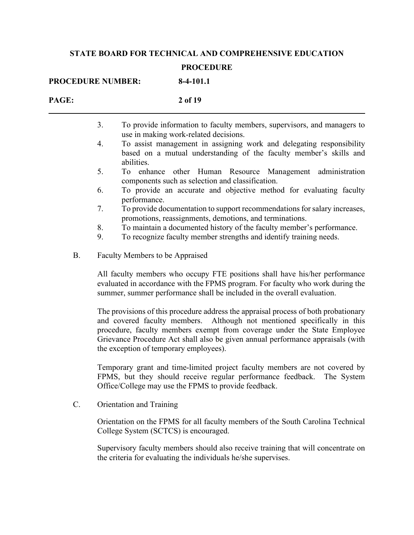|                 | 8-4-101.1<br><b>PROCEDURE NUMBER:</b>                                                                                                                                                                                                                                                                                                                                    |
|-----------------|--------------------------------------------------------------------------------------------------------------------------------------------------------------------------------------------------------------------------------------------------------------------------------------------------------------------------------------------------------------------------|
| PAGE:           | 2 of 19                                                                                                                                                                                                                                                                                                                                                                  |
|                 | 3.<br>To provide information to faculty members, supervisors, and managers to<br>use in making work-related decisions.                                                                                                                                                                                                                                                   |
|                 | To assist management in assigning work and delegating responsibility<br>4.<br>based on a mutual understanding of the faculty member's skills and<br>abilities.                                                                                                                                                                                                           |
|                 | To enhance other Human Resource Management administration<br>5.<br>components such as selection and classification.                                                                                                                                                                                                                                                      |
|                 | To provide an accurate and objective method for evaluating faculty<br>6.<br>performance.                                                                                                                                                                                                                                                                                 |
|                 | To provide documentation to support recommendations for salary increases,<br>7.<br>promotions, reassignments, demotions, and terminations.                                                                                                                                                                                                                               |
|                 | 8.<br>To maintain a documented history of the faculty member's performance.                                                                                                                                                                                                                                                                                              |
|                 | 9.<br>To recognize faculty member strengths and identify training needs.                                                                                                                                                                                                                                                                                                 |
| <b>B.</b>       | Faculty Members to be Appraised                                                                                                                                                                                                                                                                                                                                          |
|                 | All faculty members who occupy FTE positions shall have his/her performance<br>evaluated in accordance with the FPMS program. For faculty who work during the<br>summer, summer performance shall be included in the overall evaluation.                                                                                                                                 |
|                 | The provisions of this procedure address the appraisal process of both probationary<br>and covered faculty members. Although not mentioned specifically in this<br>procedure, faculty members exempt from coverage under the State Employee<br>Grievance Procedure Act shall also be given annual performance appraisals (with<br>the exception of temporary employees). |
|                 | Temporary grant and time-limited project faculty members are not covered by<br>FPMS, but they should receive regular performance feedback.<br>The System<br>Office/College may use the FPMS to provide feedback.                                                                                                                                                         |
| $\mathcal{C}$ . | Orientation and Training                                                                                                                                                                                                                                                                                                                                                 |
|                 | Orientation on the FPMS for all faculty members of the South Carolina Technical<br>College System (SCTCS) is encouraged.                                                                                                                                                                                                                                                 |
|                 | Supervisory faculty members should also receive training that will concentrate on<br>the criteria for evaluating the individuals he/she supervises.                                                                                                                                                                                                                      |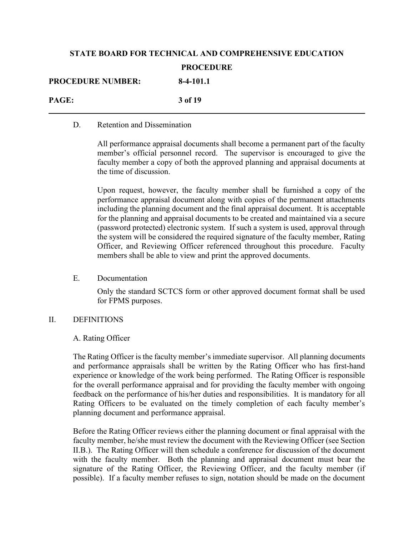| <b>PROCEDURE NUMBER:</b> | $8-4-101.1$ |
|--------------------------|-------------|
| PAGE:                    | 3 of 19     |

#### D. Retention and Dissemination

All performance appraisal documents shall become a permanent part of the faculty member's official personnel record. The supervisor is encouraged to give the faculty member a copy of both the approved planning and appraisal documents at the time of discussion.

Upon request, however, the faculty member shall be furnished a copy of the performance appraisal document along with copies of the permanent attachments including the planning document and the final appraisal document. It is acceptable for the planning and appraisal documents to be created and maintained via a secure (password protected) electronic system. If such a system is used, approval through the system will be considered the required signature of the faculty member, Rating Officer, and Reviewing Officer referenced throughout this procedure. Faculty members shall be able to view and print the approved documents.

#### E. Documentation

Only the standard SCTCS form or other approved document format shall be used for FPMS purposes.

### II. DEFINITIONS

### A. Rating Officer

The Rating Officer is the faculty member's immediate supervisor. All planning documents and performance appraisals shall be written by the Rating Officer who has first-hand experience or knowledge of the work being performed. The Rating Officer is responsible for the overall performance appraisal and for providing the faculty member with ongoing feedback on the performance of his/her duties and responsibilities. It is mandatory for all Rating Officers to be evaluated on the timely completion of each faculty member's planning document and performance appraisal.

Before the Rating Officer reviews either the planning document or final appraisal with the faculty member, he/she must review the document with the Reviewing Officer (see Section II.B.). The Rating Officer will then schedule a conference for discussion of the document with the faculty member. Both the planning and appraisal document must bear the signature of the Rating Officer, the Reviewing Officer, and the faculty member (if possible). If a faculty member refuses to sign, notation should be made on the document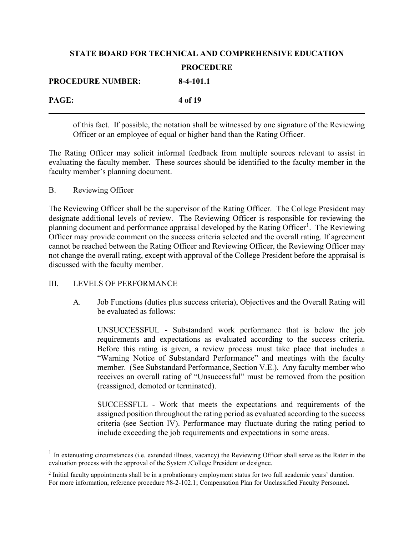| <b>PROCEDURE NUMBER:</b> | $8-4-101.1$ |
|--------------------------|-------------|
| PAGE:                    | 4 of 19     |

of this fact. If possible, the notation shall be witnessed by one signature of the Reviewing Officer or an employee of equal or higher band than the Rating Officer.

The Rating Officer may solicit informal feedback from multiple sources relevant to assist in evaluating the faculty member. These sources should be identified to the faculty member in the faculty member's planning document.

### B. Reviewing Officer

The Reviewing Officer shall be the supervisor of the Rating Officer. The College President may designate additional levels of review. The Reviewing Officer is responsible for reviewing the planning document and performance appraisal developed by the Rating Officer<sup>[1](#page-3-0)</sup>. The Reviewing Officer may provide comment on the success criteria selected and the overall rating. If agreement cannot be reached between the Rating Officer and Reviewing Officer, the Reviewing Officer may not change the overall rating, except with approval of the College President before the appraisal is discussed with the faculty member.

### III. LEVELS OF PERFORMANCE

A. Job Functions (duties plus success criteria), Objectives and the Overall Rating will be evaluated as follows:

UNSUCCESSFUL - Substandard work performance that is below the job requirements and expectations as evaluated according to the success criteria. Before this rating is given, a review process must take place that includes a "Warning Notice of Substandard Performance" and meetings with the faculty member. (See Substandard Performance, Section V.E.). Any faculty member who receives an overall rating of "Unsuccessful" must be removed from the position (reassigned, demoted or terminated).

SUCCESSFUL - Work that meets the expectations and requirements of the assigned position throughout the rating period as evaluated according to the success criteria (see Section IV). Performance may fluctuate during the rating period to include exceeding the job requirements and expectations in some areas.

<span id="page-3-0"></span><sup>&</sup>lt;sup>1</sup> In extenuating circumstances (i.e. extended illness, vacancy) the Reviewing Officer shall serve as the Rater in the evaluation process with the approval of the System /College President or designee.

<sup>2</sup> Initial faculty appointments shall be in a probationary employment status for two full academic years' duration. For more information, reference procedure #8-2-102.1; Compensation Plan for Unclassified Faculty Personnel.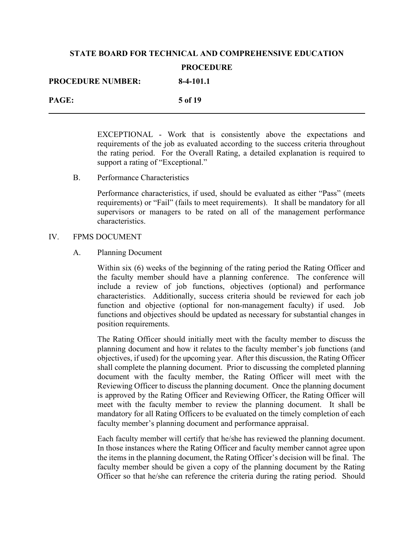| <b>PROCEDURE NUMBER:</b> | $8-4-101.1$ |
|--------------------------|-------------|
| PAGE:                    | 5 of 19     |

EXCEPTIONAL - Work that is consistently above the expectations and requirements of the job as evaluated according to the success criteria throughout the rating period. For the Overall Rating, a detailed explanation is required to support a rating of "Exceptional."

B. Performance Characteristics

Performance characteristics, if used, should be evaluated as either "Pass" (meets requirements) or "Fail" (fails to meet requirements). It shall be mandatory for all supervisors or managers to be rated on all of the management performance characteristics.

#### IV. FPMS DOCUMENT

#### A. Planning Document

Within six (6) weeks of the beginning of the rating period the Rating Officer and the faculty member should have a planning conference. The conference will include a review of job functions, objectives (optional) and performance characteristics. Additionally, success criteria should be reviewed for each job function and objective (optional for non-management faculty) if used. Job functions and objectives should be updated as necessary for substantial changes in position requirements.

The Rating Officer should initially meet with the faculty member to discuss the planning document and how it relates to the faculty member's job functions (and objectives, if used) for the upcoming year. After this discussion, the Rating Officer shall complete the planning document. Prior to discussing the completed planning document with the faculty member, the Rating Officer will meet with the Reviewing Officer to discuss the planning document. Once the planning document is approved by the Rating Officer and Reviewing Officer, the Rating Officer will meet with the faculty member to review the planning document. It shall be mandatory for all Rating Officers to be evaluated on the timely completion of each faculty member's planning document and performance appraisal.

Each faculty member will certify that he/she has reviewed the planning document. In those instances where the Rating Officer and faculty member cannot agree upon the items in the planning document, the Rating Officer's decision will be final. The faculty member should be given a copy of the planning document by the Rating Officer so that he/she can reference the criteria during the rating period. Should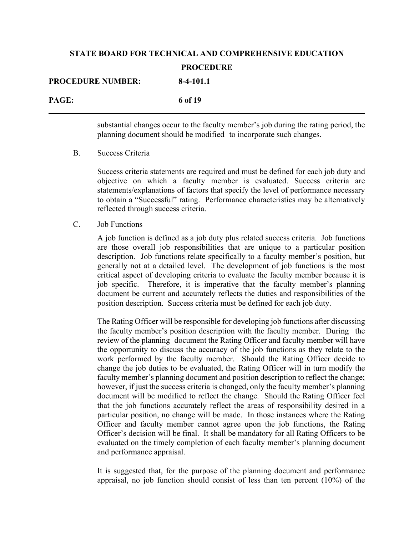| <b>PROCEDURE NUMBER:</b> | $8-4-101.1$ |
|--------------------------|-------------|
| PAGE:                    | 6 of 19     |

substantial changes occur to the faculty member's job during the rating period, the planning document should be modified to incorporate such changes.

### B. Success Criteria

Success criteria statements are required and must be defined for each job duty and objective on which a faculty member is evaluated. Success criteria are statements/explanations of factors that specify the level of performance necessary to obtain a "Successful" rating. Performance characteristics may be alternatively reflected through success criteria.

#### C. Job Functions

A job function is defined as a job duty plus related success criteria. Job functions are those overall job responsibilities that are unique to a particular position description. Job functions relate specifically to a faculty member's position, but generally not at a detailed level. The development of job functions is the most critical aspect of developing criteria to evaluate the faculty member because it is job specific. Therefore, it is imperative that the faculty member's planning document be current and accurately reflects the duties and responsibilities of the position description. Success criteria must be defined for each job duty.

The Rating Officer will be responsible for developing job functions after discussing the faculty member's position description with the faculty member. During the review of the planning document the Rating Officer and faculty member will have the opportunity to discuss the accuracy of the job functions as they relate to the work performed by the faculty member. Should the Rating Officer decide to change the job duties to be evaluated, the Rating Officer will in turn modify the faculty member's planning document and position description to reflect the change; however, if just the success criteria is changed, only the faculty member's planning document will be modified to reflect the change. Should the Rating Officer feel that the job functions accurately reflect the areas of responsibility desired in a particular position, no change will be made. In those instances where the Rating Officer and faculty member cannot agree upon the job functions, the Rating Officer's decision will be final. It shall be mandatory for all Rating Officers to be evaluated on the timely completion of each faculty member's planning document and performance appraisal.

It is suggested that, for the purpose of the planning document and performance appraisal, no job function should consist of less than ten percent (10%) of the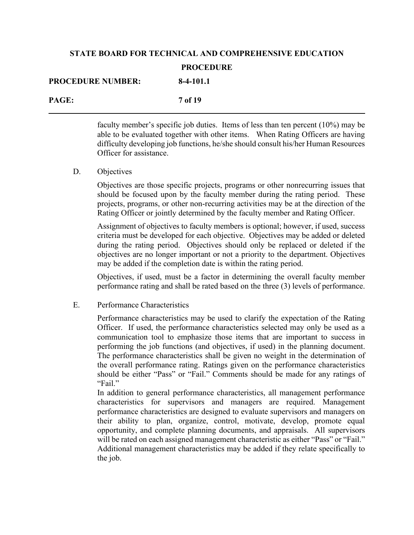| <b>PROCEDURE NUMBER:</b> | $8-4-101.1$ |
|--------------------------|-------------|
| PAGE:                    | 7 of 19     |

faculty member's specific job duties. Items of less than ten percent (10%) may be able to be evaluated together with other items. When Rating Officers are having difficulty developing job functions, he/she should consult his/her Human Resources Officer for assistance.

#### D. Objectives

Objectives are those specific projects, programs or other nonrecurring issues that should be focused upon by the faculty member during the rating period. These projects, programs, or other non-recurring activities may be at the direction of the Rating Officer or jointly determined by the faculty member and Rating Officer.

Assignment of objectives to faculty members is optional; however, if used, success criteria must be developed for each objective. Objectives may be added or deleted during the rating period. Objectives should only be replaced or deleted if the objectives are no longer important or not a priority to the department. Objectives may be added if the completion date is within the rating period.

Objectives, if used, must be a factor in determining the overall faculty member performance rating and shall be rated based on the three (3) levels of performance.

#### E. Performance Characteristics

Performance characteristics may be used to clarify the expectation of the Rating Officer. If used, the performance characteristics selected may only be used as a communication tool to emphasize those items that are important to success in performing the job functions (and objectives, if used) in the planning document. The performance characteristics shall be given no weight in the determination of the overall performance rating. Ratings given on the performance characteristics should be either "Pass" or "Fail." Comments should be made for any ratings of "Fail."

In addition to general performance characteristics, all management performance characteristics for supervisors and managers are required. Management performance characteristics are designed to evaluate supervisors and managers on their ability to plan, organize, control, motivate, develop, promote equal opportunity, and complete planning documents, and appraisals. All supervisors will be rated on each assigned management characteristic as either "Pass" or "Fail." Additional management characteristics may be added if they relate specifically to the job.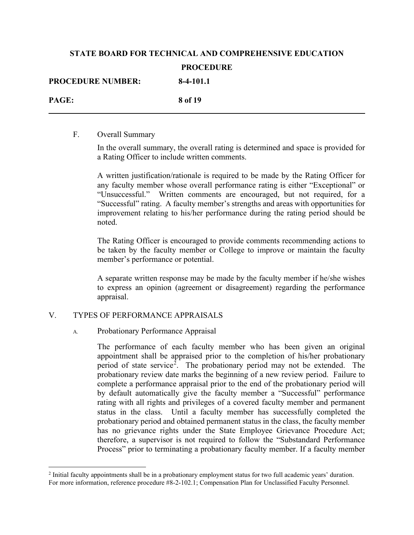| <b>PROCEDURE NUMBER:</b> | $8-4-101.1$ |
|--------------------------|-------------|
| <b>PAGE:</b>             | 8 of 19     |

#### F. Overall Summary

In the overall summary, the overall rating is determined and space is provided for a Rating Officer to include written comments.

A written justification/rationale is required to be made by the Rating Officer for any faculty member whose overall performance rating is either "Exceptional" or "Unsuccessful." Written comments are encouraged, but not required, for a "Successful" rating. A faculty member's strengths and areas with opportunities for improvement relating to his/her performance during the rating period should be noted.

The Rating Officer is encouraged to provide comments recommending actions to be taken by the faculty member or College to improve or maintain the faculty member's performance or potential.

A separate written response may be made by the faculty member if he/she wishes to express an opinion (agreement or disagreement) regarding the performance appraisal.

### V. TYPES OF PERFORMANCE APPRAISALS

### A. Probationary Performance Appraisal

The performance of each faculty member who has been given an original appointment shall be appraised prior to the completion of his/her probationary period of state service<sup>[2](#page-7-0)</sup>. The probationary period may not be extended. The probationary review date marks the beginning of a new review period. Failure to complete a performance appraisal prior to the end of the probationary period will by default automatically give the faculty member a "Successful" performance rating with all rights and privileges of a covered faculty member and permanent status in the class. Until a faculty member has successfully completed the probationary period and obtained permanent status in the class, the faculty member has no grievance rights under the State Employee Grievance Procedure Act; therefore, a supervisor is not required to follow the "Substandard Performance Process" prior to terminating a probationary faculty member. If a faculty member

<span id="page-7-0"></span><sup>&</sup>lt;sup>2</sup> Initial faculty appointments shall be in a probationary employment status for two full academic years' duration. For more information, reference procedure #8-2-102.1; Compensation Plan for Unclassified Faculty Personnel.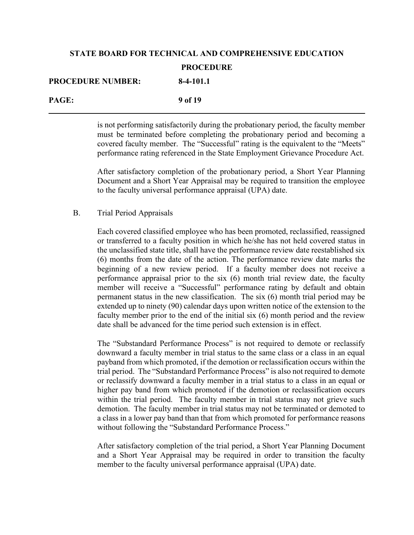| <b>PROCEDURE NUMBER:</b> | $8-4-101.1$ |
|--------------------------|-------------|
| <b>PAGE:</b>             | 9 of 19     |

is not performing satisfactorily during the probationary period, the faculty member must be terminated before completing the probationary period and becoming a covered faculty member. The "Successful" rating is the equivalent to the "Meets" performance rating referenced in the State Employment Grievance Procedure Act.

After satisfactory completion of the probationary period, a Short Year Planning Document and a Short Year Appraisal may be required to transition the employee to the faculty universal performance appraisal (UPA) date.

### B. Trial Period Appraisals

Each covered classified employee who has been promoted, reclassified, reassigned or transferred to a faculty position in which he/she has not held covered status in the unclassified state title, shall have the performance review date reestablished six (6) months from the date of the action. The performance review date marks the beginning of a new review period. If a faculty member does not receive a performance appraisal prior to the six (6) month trial review date, the faculty member will receive a "Successful" performance rating by default and obtain permanent status in the new classification. The six (6) month trial period may be extended up to ninety (90) calendar days upon written notice of the extension to the faculty member prior to the end of the initial six (6) month period and the review date shall be advanced for the time period such extension is in effect.

The "Substandard Performance Process" is not required to demote or reclassify downward a faculty member in trial status to the same class or a class in an equal payband from which promoted, if the demotion or reclassification occurs within the trial period. The "Substandard Performance Process" is also not required to demote or reclassify downward a faculty member in a trial status to a class in an equal or higher pay band from which promoted if the demotion or reclassification occurs within the trial period. The faculty member in trial status may not grieve such demotion. The faculty member in trial status may not be terminated or demoted to a class in a lower pay band than that from which promoted for performance reasons without following the "Substandard Performance Process."

After satisfactory completion of the trial period, a Short Year Planning Document and a Short Year Appraisal may be required in order to transition the faculty member to the faculty universal performance appraisal (UPA) date.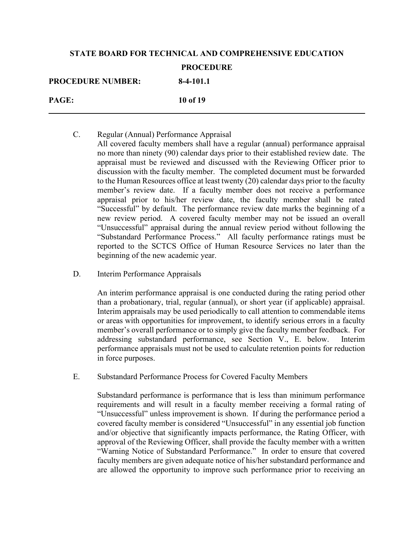| <b>PROCEDURE NUMBER:</b> | 1110 C.D. C.W<br>$8-4-101.1$ |
|--------------------------|------------------------------|
| <b>PAGE:</b>             | 10 of 19                     |

- C. Regular (Annual) Performance Appraisal All covered faculty members shall have a regular (annual) performance appraisal no more than ninety (90) calendar days prior to their established review date. The appraisal must be reviewed and discussed with the Reviewing Officer prior to discussion with the faculty member. The completed document must be forwarded to the Human Resources office at least twenty (20) calendar days prior to the faculty member's review date. If a faculty member does not receive a performance appraisal prior to his/her review date, the faculty member shall be rated "Successful" by default. The performance review date marks the beginning of a new review period. A covered faculty member may not be issued an overall "Unsuccessful" appraisal during the annual review period without following the "Substandard Performance Process." All faculty performance ratings must be reported to the SCTCS Office of Human Resource Services no later than the beginning of the new academic year.
- D. Interim Performance Appraisals

An interim performance appraisal is one conducted during the rating period other than a probationary, trial, regular (annual), or short year (if applicable) appraisal. Interim appraisals may be used periodically to call attention to commendable items or areas with opportunities for improvement, to identify serious errors in a faculty member's overall performance or to simply give the faculty member feedback. For addressing substandard performance, see Section V., E. below. Interim performance appraisals must not be used to calculate retention points for reduction in force purposes.

E. Substandard Performance Process for Covered Faculty Members

Substandard performance is performance that is less than minimum performance requirements and will result in a faculty member receiving a formal rating of "Unsuccessful" unless improvement is shown. If during the performance period a covered faculty member is considered "Unsuccessful" in any essential job function and/or objective that significantly impacts performance, the Rating Officer, with approval of the Reviewing Officer, shall provide the faculty member with a written "Warning Notice of Substandard Performance." In order to ensure that covered faculty members are given adequate notice of his/her substandard performance and are allowed the opportunity to improve such performance prior to receiving an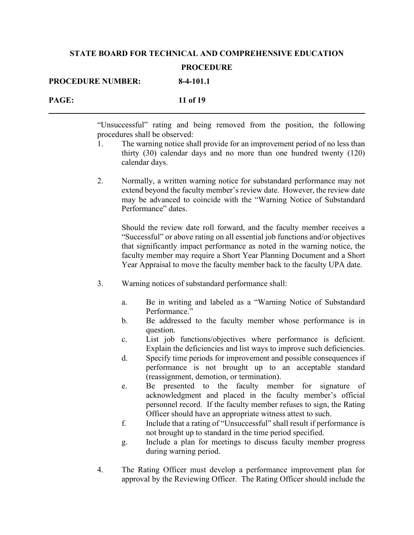| <b>PROCEDURE NUMBER:</b> | 8-4-101.1 |
|--------------------------|-----------|
| PAGE:                    | 11 of 19  |

"Unsuccessful" rating and being removed from the position, the following procedures shall be observed:

- 1. The warning notice shall provide for an improvement period of no less than thirty (30) calendar days and no more than one hundred twenty (120) calendar days.
- 2. Normally, a written warning notice for substandard performance may not extend beyond the faculty member's review date. However, the review date may be advanced to coincide with the "Warning Notice of Substandard Performance" dates.

Should the review date roll forward, and the faculty member receives a "Successful" or above rating on all essential job functions and/or objectives that significantly impact performance as noted in the warning notice, the faculty member may require a Short Year Planning Document and a Short Year Appraisal to move the faculty member back to the faculty UPA date.

- 3. Warning notices of substandard performance shall:
	- a. Be in writing and labeled as a "Warning Notice of Substandard Performance."
	- b. Be addressed to the faculty member whose performance is in question.
	- c. List job functions/objectives where performance is deficient. Explain the deficiencies and list ways to improve such deficiencies.
	- d. Specify time periods for improvement and possible consequences if performance is not brought up to an acceptable standard (reassignment, demotion, or termination).
	- e. Be presented to the faculty member for signature of acknowledgment and placed in the faculty member's official personnel record. If the faculty member refuses to sign, the Rating Officer should have an appropriate witness attest to such.
	- f. Include that a rating of "Unsuccessful" shall result if performance is not brought up to standard in the time period specified.
	- g. Include a plan for meetings to discuss faculty member progress during warning period.
- 4. The Rating Officer must develop a performance improvement plan for approval by the Reviewing Officer. The Rating Officer should include the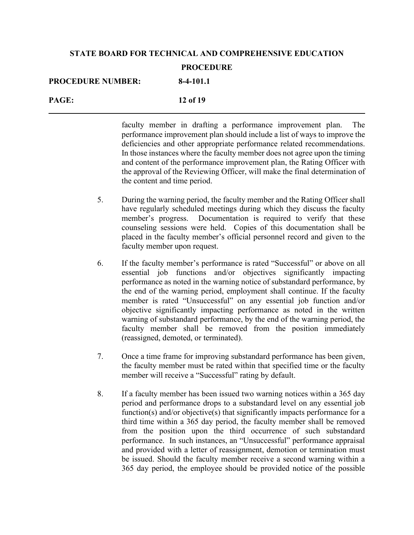| <b>PROCEDURE NUMBER:</b> | $8-4-101.1$ |
|--------------------------|-------------|
| PAGE:                    | 12 of 19    |

faculty member in drafting a performance improvement plan. The performance improvement plan should include a list of ways to improve the deficiencies and other appropriate performance related recommendations. In those instances where the faculty member does not agree upon the timing and content of the performance improvement plan, the Rating Officer with the approval of the Reviewing Officer, will make the final determination of the content and time period.

- 5. During the warning period, the faculty member and the Rating Officer shall have regularly scheduled meetings during which they discuss the faculty member's progress. Documentation is required to verify that these counseling sessions were held. Copies of this documentation shall be placed in the faculty member's official personnel record and given to the faculty member upon request.
- 6. If the faculty member's performance is rated "Successful" or above on all essential job functions and/or objectives significantly impacting performance as noted in the warning notice of substandard performance, by the end of the warning period, employment shall continue. If the faculty member is rated "Unsuccessful" on any essential job function and/or objective significantly impacting performance as noted in the written warning of substandard performance, by the end of the warning period, the faculty member shall be removed from the position immediately (reassigned, demoted, or terminated).
- 7. Once a time frame for improving substandard performance has been given, the faculty member must be rated within that specified time or the faculty member will receive a "Successful" rating by default.
- 8. If a faculty member has been issued two warning notices within a 365 day period and performance drops to a substandard level on any essential job function(s) and/or objective(s) that significantly impacts performance for a third time within a 365 day period, the faculty member shall be removed from the position upon the third occurrence of such substandard performance. In such instances, an "Unsuccessful" performance appraisal and provided with a letter of reassignment, demotion or termination must be issued. Should the faculty member receive a second warning within a 365 day period, the employee should be provided notice of the possible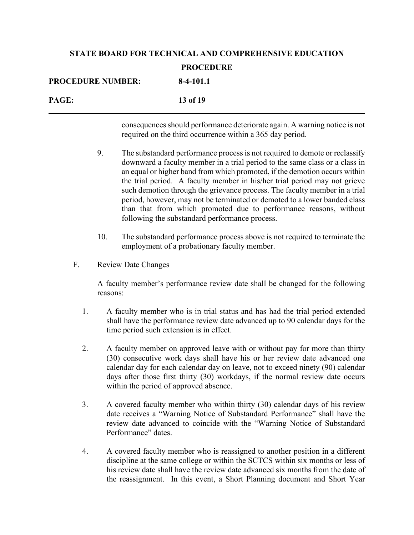| <b>PROCEDURE NUMBER:</b> | 8-4-101.1 |
|--------------------------|-----------|
| <b>PAGE:</b>             | 13 of 19  |

consequences should performance deteriorate again. A warning notice is not required on the third occurrence within a 365 day period.

- 9. The substandard performance process is not required to demote or reclassify downward a faculty member in a trial period to the same class or a class in an equal or higher band from which promoted, if the demotion occurs within the trial period. A faculty member in his/her trial period may not grieve such demotion through the grievance process. The faculty member in a trial period, however, may not be terminated or demoted to a lower banded class than that from which promoted due to performance reasons, without following the substandard performance process.
- 10. The substandard performance process above is not required to terminate the employment of a probationary faculty member.
- F. Review Date Changes

A faculty member's performance review date shall be changed for the following reasons:

- 1. A faculty member who is in trial status and has had the trial period extended shall have the performance review date advanced up to 90 calendar days for the time period such extension is in effect.
- 2. A faculty member on approved leave with or without pay for more than thirty (30) consecutive work days shall have his or her review date advanced one calendar day for each calendar day on leave, not to exceed ninety (90) calendar days after those first thirty (30) workdays, if the normal review date occurs within the period of approved absence.
- 3. A covered faculty member who within thirty (30) calendar days of his review date receives a "Warning Notice of Substandard Performance" shall have the review date advanced to coincide with the "Warning Notice of Substandard Performance" dates.
- 4. A covered faculty member who is reassigned to another position in a different discipline at the same college or within the SCTCS within six months or less of his review date shall have the review date advanced six months from the date of the reassignment. In this event, a Short Planning document and Short Year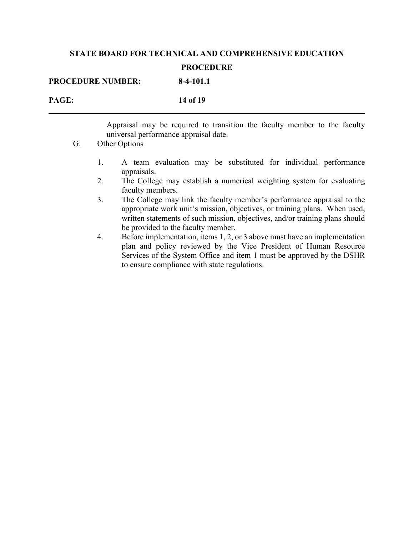| <b>PROCEDURE NUMBER:</b> | $8-4-101.1$ |
|--------------------------|-------------|
| PAGE:                    | 14 of 19    |

Appraisal may be required to transition the faculty member to the faculty universal performance appraisal date.

- G. Other Options
	- 1. A team evaluation may be substituted for individual performance appraisals.
	- 2. The College may establish a numerical weighting system for evaluating faculty members.
	- 3. The College may link the faculty member's performance appraisal to the appropriate work unit's mission, objectives, or training plans. When used, written statements of such mission, objectives, and/or training plans should be provided to the faculty member.
	- 4. Before implementation, items 1, 2, or 3 above must have an implementation plan and policy reviewed by the Vice President of Human Resource Services of the System Office and item 1 must be approved by the DSHR to ensure compliance with state regulations.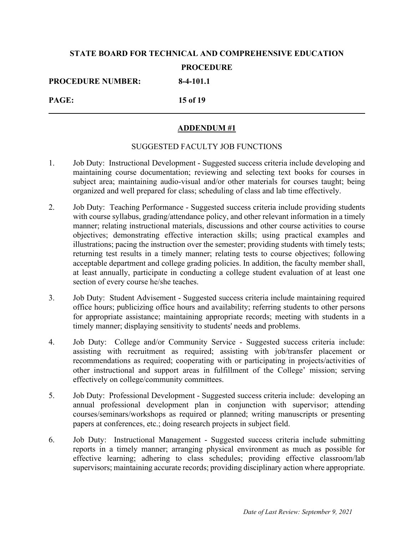**PROCEDURE NUMBER: 8-4-101.1**

**PAGE: 15 of 19**

### **ADDENDUM #1**

### SUGGESTED FACULTY JOB FUNCTIONS

- 1. Job Duty: Instructional Development Suggested success criteria include developing and maintaining course documentation; reviewing and selecting text books for courses in subject area; maintaining audio-visual and/or other materials for courses taught; being organized and well prepared for class; scheduling of class and lab time effectively.
- 2. Job Duty: Teaching Performance Suggested success criteria include providing students with course syllabus, grading/attendance policy, and other relevant information in a timely manner; relating instructional materials, discussions and other course activities to course objectives; demonstrating effective interaction skills; using practical examples and illustrations; pacing the instruction over the semester; providing students with timely tests; returning test results in a timely manner; relating tests to course objectives; following acceptable department and college grading policies. In addition, the faculty member shall, at least annually, participate in conducting a college student evaluation of at least one section of every course he/she teaches.
- 3. Job Duty: Student Advisement Suggested success criteria include maintaining required office hours; publicizing office hours and availability; referring students to other persons for appropriate assistance; maintaining appropriate records; meeting with students in a timely manner; displaying sensitivity to students' needs and problems.
- 4. Job Duty: College and/or Community Service Suggested success criteria include: assisting with recruitment as required; assisting with job/transfer placement or recommendations as required; cooperating with or participating in projects/activities of other instructional and support areas in fulfillment of the College' mission; serving effectively on college/community committees.
- 5. Job Duty: Professional Development Suggested success criteria include: developing an annual professional development plan in conjunction with supervisor; attending courses/seminars/workshops as required or planned; writing manuscripts or presenting papers at conferences, etc.; doing research projects in subject field.
- 6. Job Duty: Instructional Management Suggested success criteria include submitting reports in a timely manner; arranging physical environment as much as possible for effective learning; adhering to class schedules; providing effective classroom/lab supervisors; maintaining accurate records; providing disciplinary action where appropriate.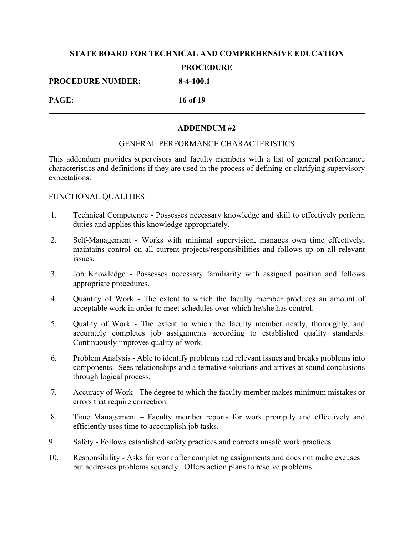**PROCEDURE NUMBER: 8-4-100.1**

**PAGE: 16 of 19**

### **ADDENDUM #2**

### GENERAL PERFORMANCE CHARACTERISTICS

This addendum provides supervisors and faculty members with a list of general performance characteristics and definitions if they are used in the process of defining or clarifying supervisory expectations.

### FUNCTIONAL QUALITIES

- 1. Technical Competence Possesses necessary knowledge and skill to effectively perform duties and applies this knowledge appropriately.
- 2. Self-Management Works with minimal supervision, manages own time effectively, maintains control on all current projects/responsibilities and follows up on all relevant issues.
- 3. Job Knowledge Possesses necessary familiarity with assigned position and follows appropriate procedures.
- 4. Quantity of Work The extent to which the faculty member produces an amount of acceptable work in order to meet schedules over which he/she has control.
- 5. Quality of Work The extent to which the faculty member neatly, thoroughly, and accurately completes job assignments according to established quality standards. Continuously improves quality of work.
- 6. Problem Analysis Able to identify problems and relevant issues and breaks problems into components. Sees relationships and alternative solutions and arrives at sound conclusions through logical process.
- 7. Accuracy of Work The degree to which the faculty member makes minimum mistakes or errors that require correction.
- 8. Time Management Faculty member reports for work promptly and effectively and efficiently uses time to accomplish job tasks.
- 9. Safety Follows established safety practices and corrects unsafe work practices.
- 10. Responsibility Asks for work after completing assignments and does not make excuses but addresses problems squarely. Offers action plans to resolve problems.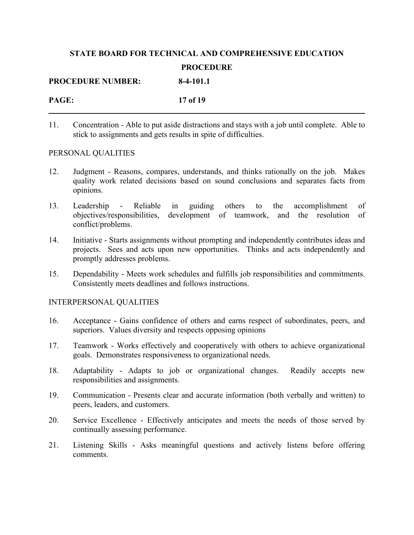| <b>PROCEDURE NUMBER:</b> | $8-4-101.1$ |
|--------------------------|-------------|
| PAGE:                    | 17 of 19    |

11. Concentration - Able to put aside distractions and stays with a job until complete. Able to stick to assignments and gets results in spite of difficulties.

### PERSONAL QUALITIES

- 12. Judgment Reasons, compares, understands, and thinks rationally on the job. Makes quality work related decisions based on sound conclusions and separates facts from opinions.
- 13. Leadership Reliable in guiding others to the accomplishment of objectives/responsibilities, development of teamwork, and the resolution of conflict/problems.
- 14. Initiative Starts assignments without prompting and independently contributes ideas and projects. Sees and acts upon new opportunities. Thinks and acts independently and promptly addresses problems.
- 15. Dependability Meets work schedules and fulfills job responsibilities and commitments. Consistently meets deadlines and follows instructions.

### INTERPERSONAL QUALITIES

- 16. Acceptance Gains confidence of others and earns respect of subordinates, peers, and superiors. Values diversity and respects opposing opinions
- 17. Teamwork Works effectively and cooperatively with others to achieve organizational goals. Demonstrates responsiveness to organizational needs.
- 18. Adaptability Adapts to job or organizational changes. Readily accepts new responsibilities and assignments.
- 19. Communication Presents clear and accurate information (both verbally and written) to peers, leaders, and customers.
- 20. Service Excellence Effectively anticipates and meets the needs of those served by continually assessing performance.
- 21. Listening Skills Asks meaningful questions and actively listens before offering comments.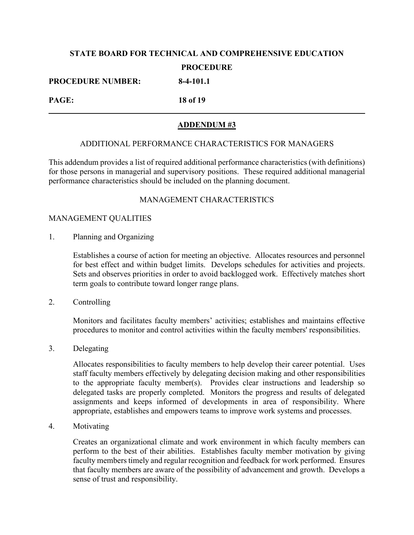**PROCEDURE NUMBER: 8-4-101.1**

**PAGE: 18 of 19**

### **ADDENDUM #3**

### ADDITIONAL PERFORMANCE CHARACTERISTICS FOR MANAGERS

This addendum provides a list of required additional performance characteristics (with definitions) for those persons in managerial and supervisory positions. These required additional managerial performance characteristics should be included on the planning document.

### MANAGEMENT CHARACTERISTICS

### MANAGEMENT QUALITIES

1. Planning and Organizing

Establishes a course of action for meeting an objective. Allocates resources and personnel for best effect and within budget limits. Develops schedules for activities and projects. Sets and observes priorities in order to avoid backlogged work. Effectively matches short term goals to contribute toward longer range plans.

2. Controlling

Monitors and facilitates faculty members' activities; establishes and maintains effective procedures to monitor and control activities within the faculty members' responsibilities.

3. Delegating

Allocates responsibilities to faculty members to help develop their career potential. Uses staff faculty members effectively by delegating decision making and other responsibilities to the appropriate faculty member(s). Provides clear instructions and leadership so delegated tasks are properly completed. Monitors the progress and results of delegated assignments and keeps informed of developments in area of responsibility. Where appropriate, establishes and empowers teams to improve work systems and processes.

4. Motivating

Creates an organizational climate and work environment in which faculty members can perform to the best of their abilities. Establishes faculty member motivation by giving faculty members timely and regular recognition and feedback for work performed. Ensures that faculty members are aware of the possibility of advancement and growth. Develops a sense of trust and responsibility.